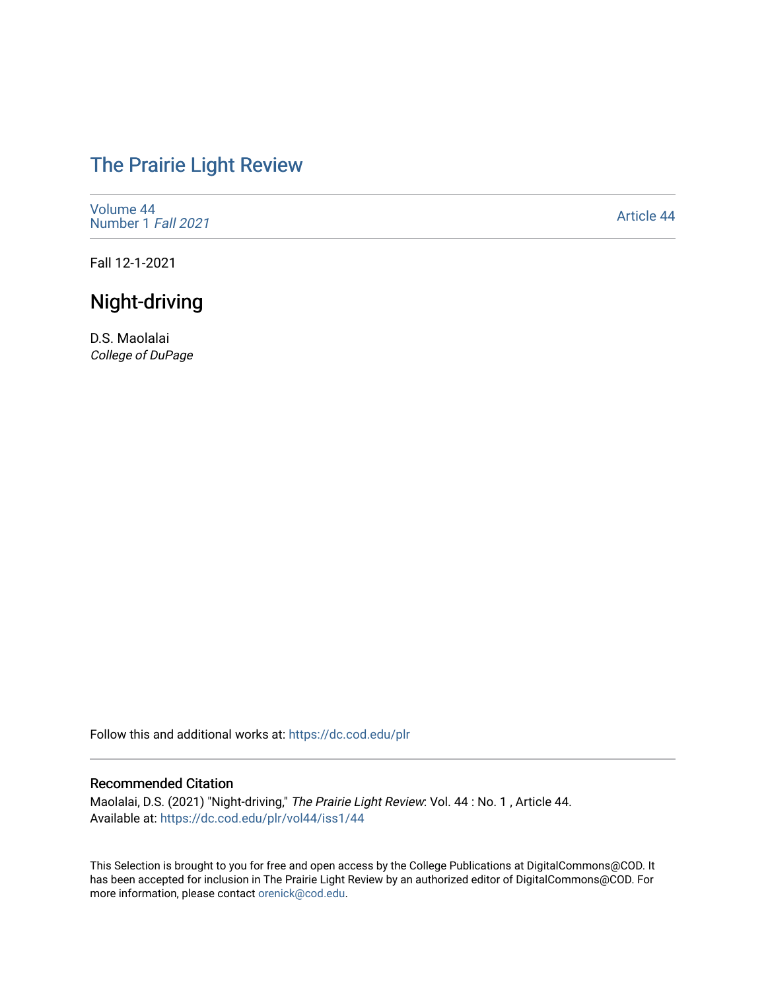# [The Prairie Light Review](https://dc.cod.edu/plr)

[Volume 44](https://dc.cod.edu/plr/vol44) [Number 1](https://dc.cod.edu/plr/vol44/iss1) Fall 2021

[Article 44](https://dc.cod.edu/plr/vol44/iss1/44) 

Fall 12-1-2021

## Night-driving

D.S. Maolalai College of DuPage

Follow this and additional works at: [https://dc.cod.edu/plr](https://dc.cod.edu/plr?utm_source=dc.cod.edu%2Fplr%2Fvol44%2Fiss1%2F44&utm_medium=PDF&utm_campaign=PDFCoverPages) 

#### Recommended Citation

Maolalai, D.S. (2021) "Night-driving," The Prairie Light Review: Vol. 44 : No. 1 , Article 44. Available at: [https://dc.cod.edu/plr/vol44/iss1/44](https://dc.cod.edu/plr/vol44/iss1/44?utm_source=dc.cod.edu%2Fplr%2Fvol44%2Fiss1%2F44&utm_medium=PDF&utm_campaign=PDFCoverPages)

This Selection is brought to you for free and open access by the College Publications at DigitalCommons@COD. It has been accepted for inclusion in The Prairie Light Review by an authorized editor of DigitalCommons@COD. For more information, please contact [orenick@cod.edu.](mailto:orenick@cod.edu)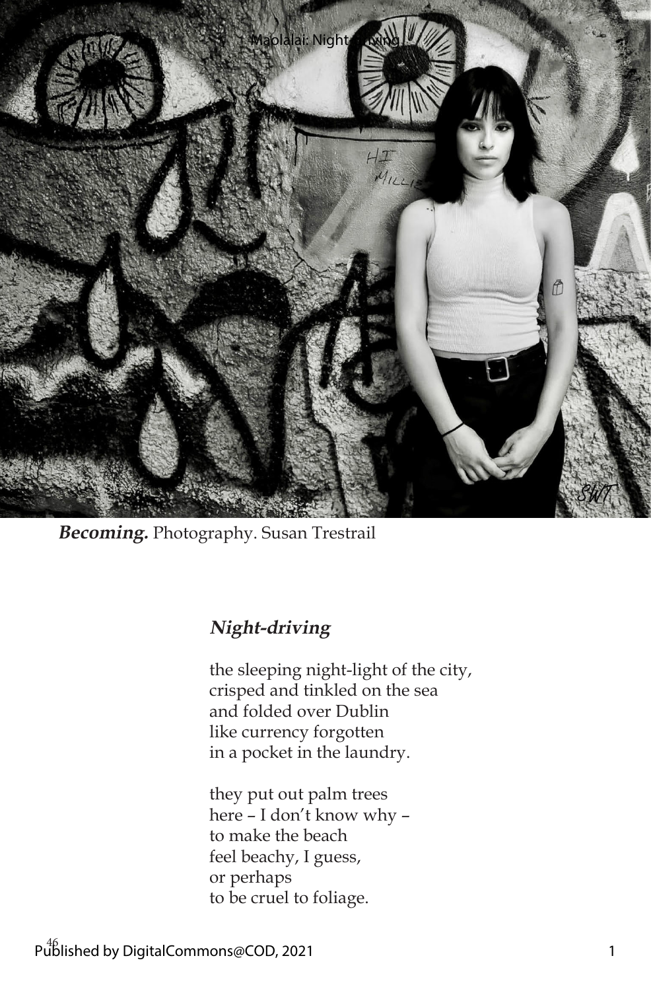

**Becoming.** Photography. Susan Trestrail

### **Night-driving**

the sleeping night-light of the city, crisped and tinkled on the sea and folded over Dublin like currency forgotten in a pocket in the laundry.

they put out palm trees here – I don't know why – to make the beach feel beachy, I guess, or perhaps to be cruel to foliage.